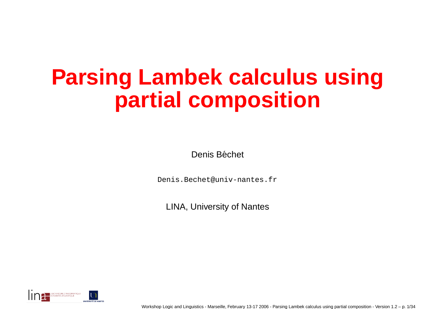### **Parsing Lambek calculus usingpartial composition**

Denis Béchet

Denis.Bechet@univ-nantes.fr

LINA, University of Nantes



Workshop Logic and Linguistics - Marseille, February 13-17 2006 - Parsing Lambek calculus using partial composition - Version 1.2 – p. 1/34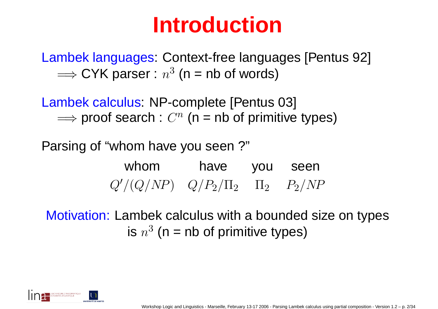## **Introduction**

Lambek languages: Context-free languages [Pentus 92] =⇒ $\Rightarrow$  CYK parser :  $n^3$  (n = nb of words)

Lambek calculus: NP-complete [Pentus 03]  $\Longrightarrow$  proof search :  $C^n$  (n = nb of primitive types)

Parsing of "whom have you seen ?"

| whom                                       | have | you seen |
|--------------------------------------------|------|----------|
| $Q'/(Q/NP)$ $Q/P_2/\Pi_2$ $\Pi_2$ $P_2/NP$ |      |          |

Motivation: Lambek calculus with <sup>a</sup> bounded size on typesis  $n^3$  (n = nb of primitive types)

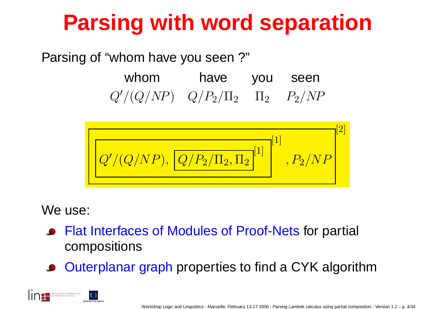# **Parsing with word separation**

Parsing of "whom have you seen ?"

#### whom have you seen  $Q'/(Q/NP)$   $Q/P_2/\Pi_2$   $\Pi_2$   $P_2/NP$



#### We use:

- Flat Interfaces of Modules of Proof-Nets for partial compositions
- Outerplanar graph properties to find <sup>a</sup> CYK algorithm

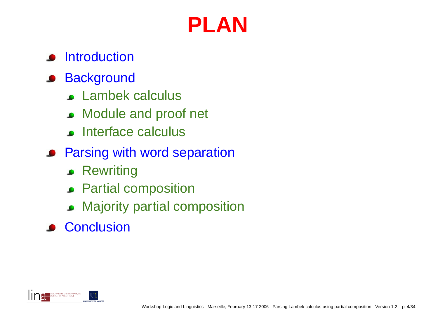#### **PLAN**

#### **Introduction**

#### **Background**

- Lambek calculus
- **Journal Module and proof net**
- **Interface calculus**
- **Parsing with word separation** 
	- **Rewriting**
	- Partial composition
	- Majority partial composition $\bullet$
- **Conclusion**

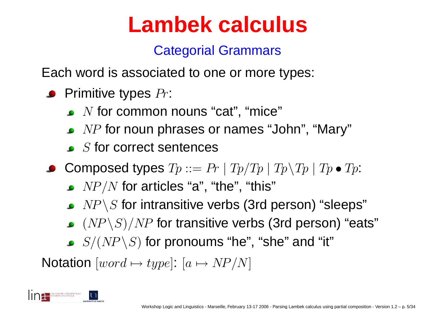#### Categorial Grammars

Each word is associated to one or more types:

- Primitive types  $Pr$ :
	- N for common nouns "cat", "mice"
	- $NP$  for noun phrases or names "John", "Mary"
	- $S$  for correct sentences
- $\textbf{Composed types }Tp ::= Pr \mid Tp/Tp \mid Tp\backslash Tp \mid Tp \bullet Tp \text{.}$ 
	- $NP/N$  for articles "a", "the", "this"  $\hspace{0.1cm}$
	- $NP\backslash S$  for intransitive verbs (3rd person) "sleeps"
	- $\left( NP\backslash S\right) /NP$  for transitive verbs (3rd person) "eats"
	- $S/(NP\backslash S)$  for pronoums "he", "she" and "it"

Notation  $[word \mapsto type] \colon [a \mapsto NP/N]$ 

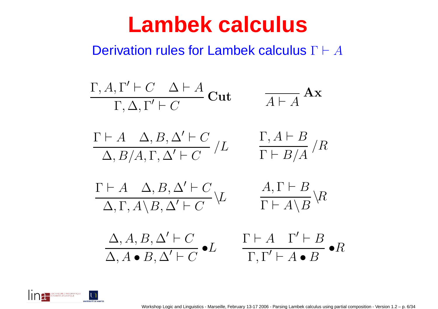Derivation rules for Lambek calculus  $\Gamma\vdash A$ 

$$
\Gamma, A, \Gamma' \vdash C \quad \Delta \vdash A
$$
\n
$$
\Gamma, \Delta, \Gamma' \vdash C
$$
\n
$$
\Gamma \vdash A \quad \Delta, B, \Delta' \vdash C
$$
\n
$$
\frac{\Gamma \vdash A \quad \Delta, B, \Delta' \vdash C}{\Delta, B/A, \Gamma, \Delta' \vdash C} / L \qquad \frac{\Gamma, A \vdash B}{\Gamma \vdash B/A} / R
$$
\n
$$
\frac{\Gamma \vdash A \quad \Delta, B, \Delta' \vdash C}{\Delta, \Gamma, A \setminus B, \Delta' \vdash C} \downarrow L \qquad \frac{A, \Gamma \vdash B}{\Gamma \vdash A \setminus B} \downarrow R
$$
\n
$$
\frac{\Delta, A, B, \Delta' \vdash C}{\Delta, A \bullet B, \Delta' \vdash C} \bullet L \qquad \frac{\Gamma \vdash A \quad \Gamma' \vdash B}{\Gamma, \Gamma' \vdash A \bullet B} \bullet R
$$

**D'INFORMATIOU**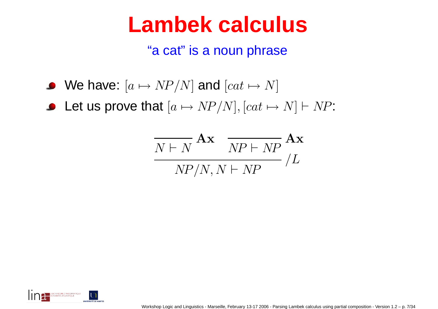#### "a cat" is <sup>a</sup> noun phrase

- We have:  $[a \mapsto NP/N]$  and  $[cat \mapsto N]$
- Let us prove that  $[a \mapsto NP / N], [cat \mapsto N] \vdash NP$ :

$$
\frac{N \vdash N}{N \vdash N} \frac{\mathbf{A} \mathbf{x}}{N \vdash N \vdash N \mathbf{P}} \frac{\mathbf{A} \mathbf{x}}{L}
$$
\n
$$
N \vdash N \vdash N \mathbf{P}
$$

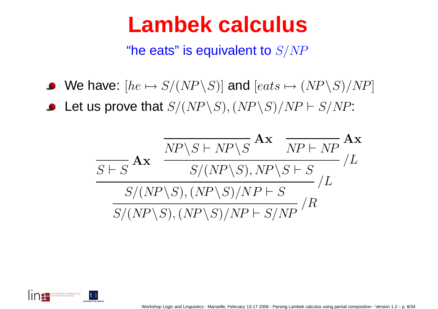"he eats" is equivalent to  $S/N\!P$ 

- We have:  $[he \mapsto S/(NP\backslash S)]$  and  $[eats \mapsto (NP\backslash S)/NP]$
- Let us prove that  $S/(NP\backslash S),(NP\backslash S)/NP\vdash S/NP$ :



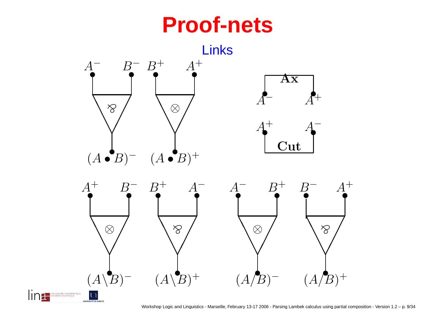

lina-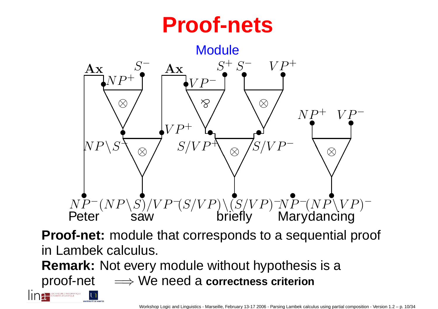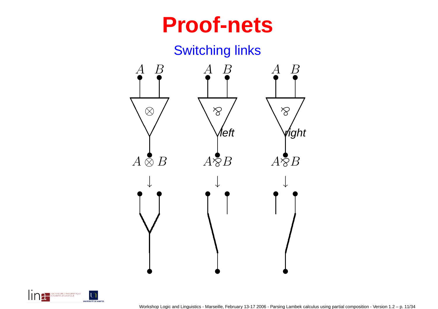#### Switching links



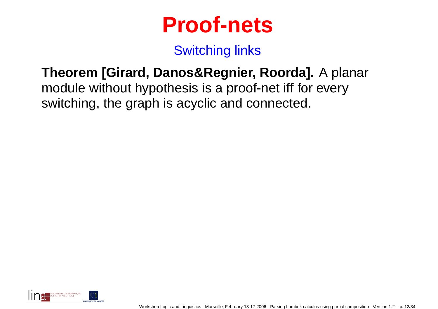

Switching links

**Theorem [Girard, Danos&Regnier, Roorda].** A planarmodule without hypothesis is <sup>a</sup> proof-net iff for everyswitching, the graph is acyclic and connected.

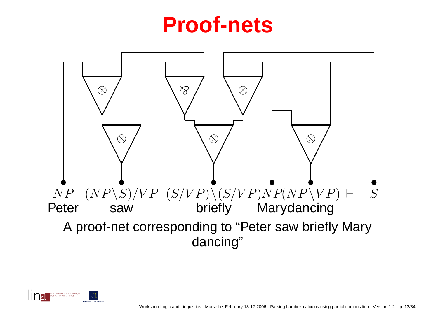

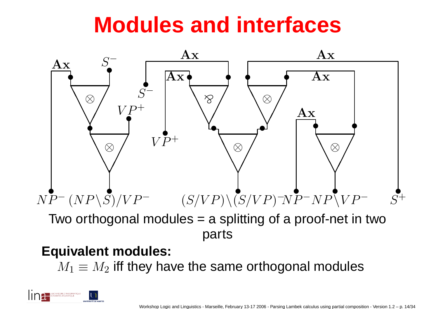### **Modules and interfaces**



 Two orthogonal modules <sup>=</sup> <sup>a</sup> splitting of <sup>a</sup> proof-net in twoparts

#### **Equivalent modules:**

 $M_1\equiv M_2$  iff they have the same orthogonal modules

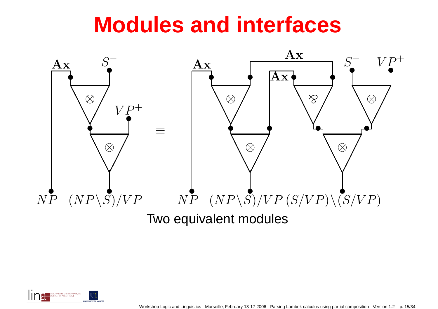### **Modules and interfaces**



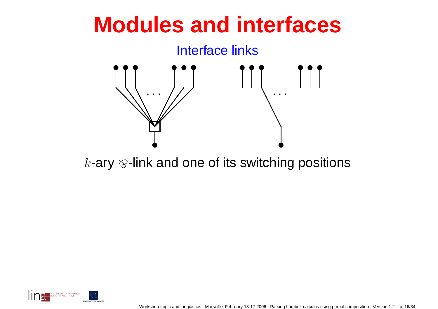

 $k$ -ary  $\otimes$ -link and one of its switching positions

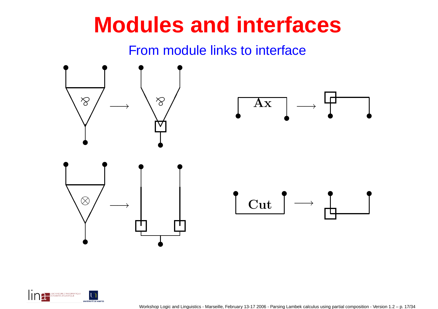### **Modules and interfaces**

From module links to interface



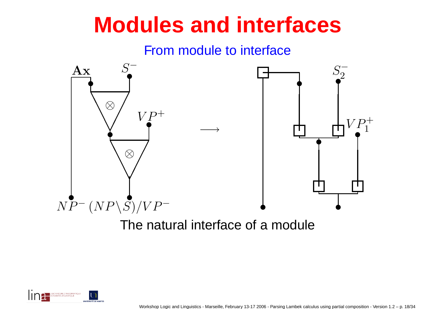## **Modules and interfaces**

From module to interface



The natural interface of <sup>a</sup> module

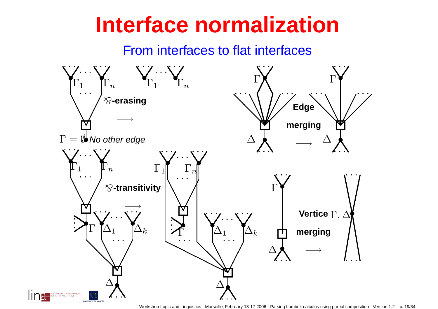### **Interface normalization**

From interfaces to flat interfaces



lina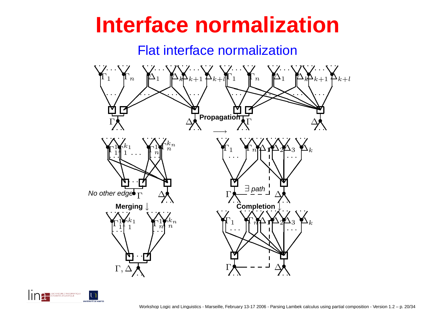## **Interface normalization**

**Flat interface normalization** 



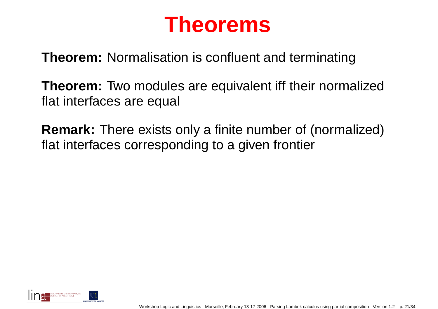#### **Theorems**

**Theorem:** Normalisation is confluent and terminating

**Theorem:** Two modules are equivalent iff their normalizedflat interfaces are equal

**Remark:** There exists only <sup>a</sup> finite number of (normalized) flat interfaces corresponding to <sup>a</sup> given frontier

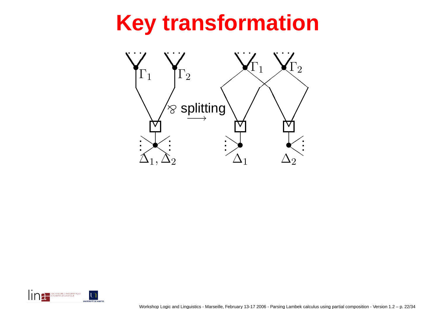# **Key transformation**



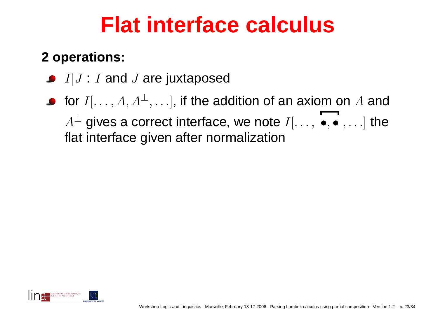## **Flat interface calculus**

#### **2 operations:**

- $I|J$  :  $I$  and  $J$  are juxtaposed
- for  $I[\ldots, A, A^\perp, \ldots]$ , if the addition of an axiom on  $A$  and  $A^{\perp}$  gives a correct interface, we note  $I[\ldots, \,\bullet, \bullet \, , \ldots]$  the flat interface given after normalization

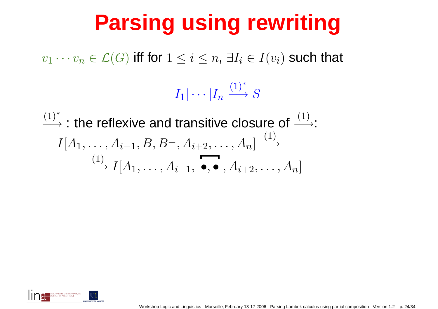# **Parsing using rewriting**

 $v_1 \cdots v_n$  $n \in \mathcal{L}(G)$  iff for  $1 \leq i \leq n, \, \exists I_i \in I(v_i)$  such that

> $I_1|\cdots|I_n$  $n \frac{(1)^*}{(1)^*}$  $\longrightarrow S$

 $(1)^*$ , the reflexive and transitive a ∗ $\xrightarrow{(-)}$  $\stackrel{(1)^*}{\longrightarrow}$ : the reflexive and transitive closure of  $\stackrel{(1)}{\longrightarrow}$ :  $I[A_1, \ldots, A_{i-}$  $\stackrel{(1)}{\longrightarrow} I[A_1,\ldots,A_{i-1},\bullet,\bullet,A_{i+2},\ldots,A_n]$  $_1,B,B^\perp,A_{i+2},\ldots,A_n] \stackrel{(1)}{\longrightarrow}$ 

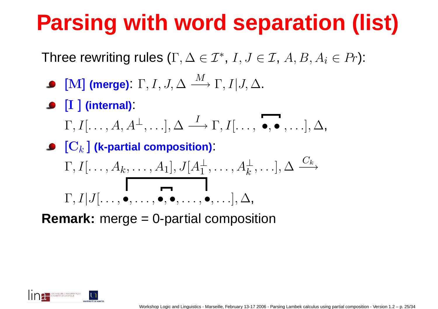# **Parsing with word separation (list)**

Three rewriting rules  $(\Gamma, \Delta \in \mathcal{I}^*$ \*,  $I, J \in \mathcal{I}, A, B, A$  $i\in Pr$ ):

- [M] **(merge)**: <sup>Γ</sup>, I, J, ∆ $\,M$  $\stackrel{\scriptscriptstyle{I\!M}}{\longrightarrow}\Gamma,$   $I|J,\Delta.$
- [I] **(internal)**:  $\bullet$

 $\Gamma, I[\dots, A, A^\perp, \ldots], \Delta$ I $\stackrel{\tau}{\longrightarrow}\Gamma, I[\ldots, \; \bullet, \bullet \; , \ldots], \Delta,$ 

 $\left[\mathbf{C}_k\right]$  (k-partial composition).  $\Gamma, I[\dots, A_k, \dots, A_1], J[A_1^\perp]$ 1 $\frac{1}{1}, \ldots, A_k^{\perp}$  $\,$  $\frac{1}{k}, \ldots, \big]$ ,  $\Delta$  −→ $\Gamma, I|J[ \ldots, \bullet, \ldots, \bullet, \bullet, \ldots, \bullet, \ldots, \bullet, \ldots ], \Delta,$ 

**Remark:** merge <sup>=</sup> 0-partial composition



 $\, C \,$  $\,k$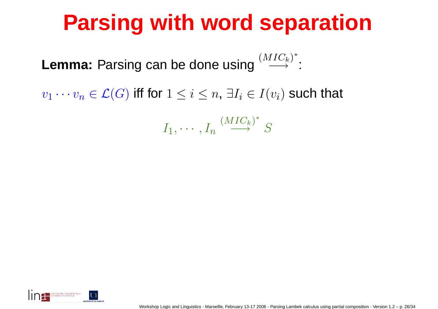# **Parsing with word separation**

**Lemma:** Parsing can be done using $(MIC$  $_{k})$ ∗ $\longrightarrow$  :

 $v_1 \cdots v_n$  $n \in \mathcal{L}(G)$  iff for  $1 \leq i \leq n, \, \exists I_i \in I(v_i)$  such that

> $I_1,$  $, \cdots, I_n$  $(MIC$  $_{k})$ ∗ $\longrightarrow$  S

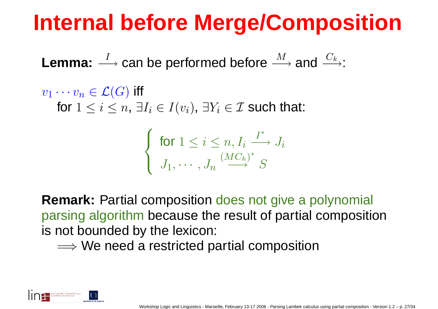# **Internal before Merge/Composition**

**Lemma:**I −→ $\stackrel{\text{\tiny{L}}}{\longrightarrow}$  can be performed before  $\,M$  $\longrightarrow$  and  $\, C \,$  $\,k$ −→:

 $v_1 \cdots v_n$ for  $1\leq i\leq n,$   $\exists I_{i}\in I(v_{i}),$   $\exists Y_{i}\in\mathcal{I}$  such that:  $n\in \mathcal{L}(G)$  iff

$$
\begin{cases} \text{ for } 1 \leq i \leq n, I_i \xrightarrow{I^*} J_i \\ J_1, \cdots, J_n \xrightarrow{(MC_k)^*} S \end{cases}
$$

**Remark:** Partial composition does not give <sup>a</sup> polynomial parsing algorithm because the result of partial composition<br>is not bounded by the lexicen: is not bounded by the lexicon:

 $\Longrightarrow$  We need a restricted partial composition

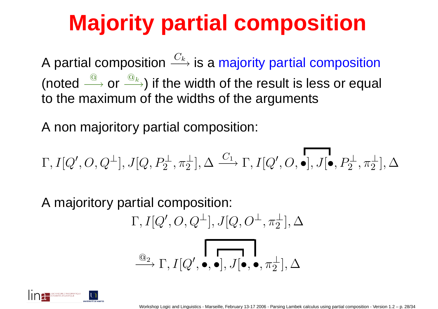# **Majority partial composition**

A partial composition(noted  $\overset{@}{\longrightarrow}$  or  $\overset{@}{\longrightarrow}$  ) if  $\, C \,$  $\boldsymbol{k}$  $\stackrel{\cup k}{\longrightarrow}$  is a majority partial composition to the maximum of the widths of the arguments $@$ —→ or<br>naximı  $@$  $\,k$  $\stackrel{\lll}{\longrightarrow}$ ) if the width of the result is less or equal

A non majoritory partial composition:

$$
\Gamma, I[Q', O, Q^\perp], J[Q, P_2^\perp, \pi_2^\perp], \Delta \xrightarrow{C_1} \Gamma, I[Q', O, \bullet], J[\bullet, P_2^\perp, \pi_2^\perp], \Delta
$$

A majoritory partial composition:  $\Gamma, I[Q',O,Q^\perp], J[Q,O^\perp]$  $,\,\pi_{2}$ ⊥ $\frac{1}{2}], \Delta$  $@$ 2 $\stackrel{\text{\tiny{(Q)}}_2}{\longrightarrow} \Gamma, I[Q',\bullet,\bullet], J[\bullet,\bullet,\pi_2^\perp]$  $\frac{1}{2}], \Delta$ 

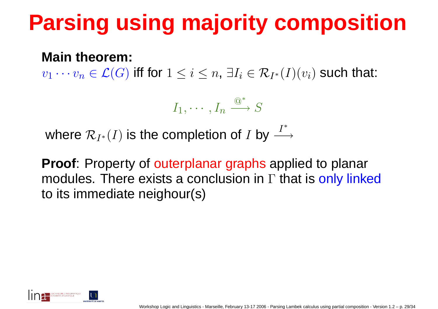# **Parsing using majority composition**

#### **Main theorem:**

 $v_1 \cdots v_n$  $n \in \mathcal{L}(G)$  iff for  $1 \leq i \leq n$ ,  $\exists I_i \in \mathcal{R}$  $_{I^{\ast}}(I)(v_{i})$  such that:

$$
I_1,\cdots,I_n\stackrel{\textcircled{\tiny{\mathbb{Q}}^*}}{\longrightarrow}S
$$

where  $\mathcal{R}_{I^*}(I)$  is the completion of  $I$  by I∗−→

**Proof**: Property of outerplanar graphs applied to planar modules. There exists <sup>a</sup> conclusion inΓ that is only linked to its immediate neighour(s)

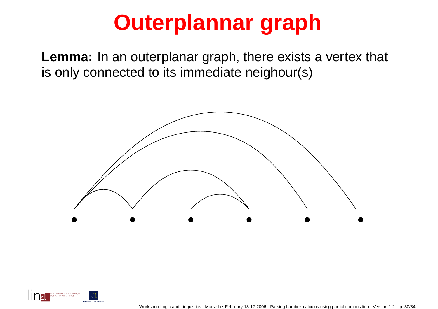# **Outerplannar graph**

**Lemma:** In an outerplanar graph, there exists <sup>a</sup> vertex that is only connected to its immediate neighour(s)



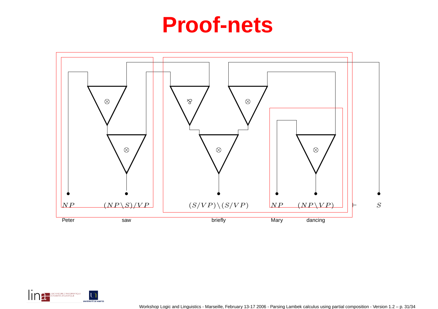

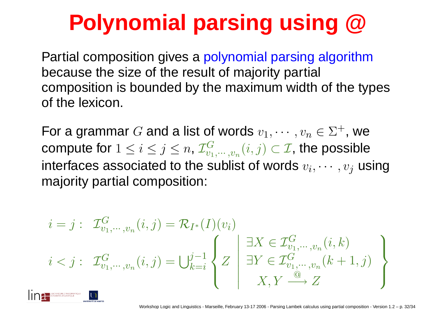# **Polynomial parsing using @**

 Partial composition gives <sup>a</sup> polynomial parsing algorithmbecause the size of the result of majority partial composition is bounded by the maximum width of the typesof the lexicon.

For a grammar  $G$  and a list of words  $v_1, \cdots, v_n \in \Sigma^+$ , we compute for  $1\leq i\leq j\leq n$ ,  $\mathcal{I}^G_{v_1,\cdots,v_n}(i,j)\subset \mathcal{I},$  the possibl  $1\leq i$ **Contract Contract**  $i\leq j\leq n$  ,  $\mathcal{I}^G_{v_1}$ interfaces associated to the sublist of words  $v_i, \cdots, v_j$  using  $\mathcal{C}_{v_1,\cdots,v_n}(i,j)\subset \mathcal{I},$  the possible majority partial composition:

$$
i = j: \mathcal{I}_{v_1, \dots, v_n}^G(i, j) = \mathcal{R}_{I^*}(I)(v_i)
$$
  

$$
i < j: \mathcal{I}_{v_1, \dots, v_n}^G(i, j) = \bigcup_{k=i}^{j-1} \left\{ Z \mid \exists X \in \mathcal{I}_{v_1, \dots, v_n}^G(i, k) \atop \exists Y \in \mathcal{I}_{v_1, \dots, v_n}^G(k+1, j) \right\}
$$
  

$$
X, Y \stackrel{\textcircled{\tiny{\textcircled{\tiny \textcirc}}}}{\longrightarrow} Z
$$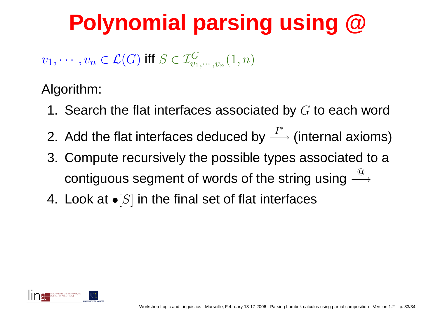# **Polynomial parsing using @**

$$
v_1, \cdots, v_n \in \mathcal{L}(G) \text{ iff } S \in \mathcal{I}_{v_1, \cdots, v_n}^G(1, n)
$$

Algorithm:

- 1. Search the flat interfaces associated by  $G$  to each word
- 2. Add the flat interfaces deduced byI∗ −→ $\hookrightarrow$  (internal axioms)
- 3. Compute recursively the possible types associated to <sup>a</sup>contiguous segment of words of the string using $@$ −→
- 4. Look at  $\bullet [S]$  in the final set of flat interfaces